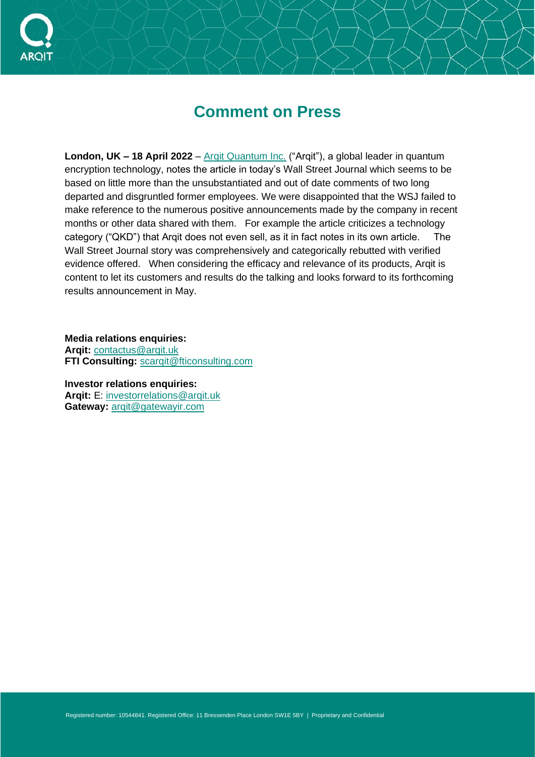

## **Comment on Press**

**London, UK – 18 April 2022** – Argit Quantum Inc. ("Argit"), a global leader in quantum encryption technology, notes the article in today's Wall Street Journal which seems to be based on little more than the unsubstantiated and out of date comments of two long departed and disgruntled former employees. We were disappointed that the WSJ failed to make reference to the numerous positive announcements made by the company in recent months or other data shared with them. For example the article criticizes a technology category ("QKD") that Arqit does not even sell, as it in fact notes in its own article. The Wall Street Journal story was comprehensively and categorically rebutted with verified evidence offered. When considering the efficacy and relevance of its products, Arqit is content to let its customers and results do the talking and looks forward to its forthcoming results announcement in May.

**Media relations enquiries:** Arait: contactus@argit.uk **FTI Consulting:** scargit@fticonsulting.com

**Investor relations enquiries: Arqit:** E: [investorrelations@arqit.uk](mailto:Tracy.meher@arqitinc.us) **Gateway:** [arqit@gatewayir.com](mailto:arqit@gatewayir.com)